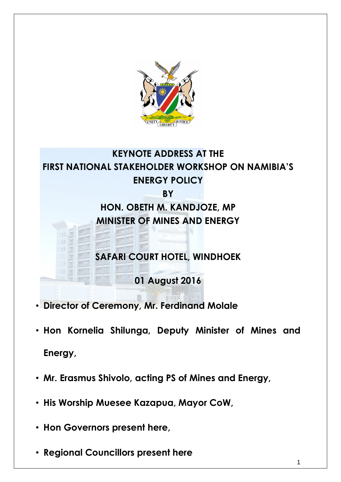

## **KEYNOTE ADDRESS AT THE FIRST NATIONAL STAKEHOLDER WORKSHOP ON NAMIBIA'S ENERGY POLICY**

#### **BY**

### **HON. OBETH M. KANDJOZE, MP MINISTER OF MINES AND ENERGY**

### **SAFARI COURT HOTEL, WINDHOEK**

**01 August 2016**

- **Director of Ceremony, Mr. Ferdinand Molale**
- **Hon Kornelia Shilunga, Deputy Minister of Mines and Energy,**
- **Mr. Erasmus Shivolo, acting PS of Mines and Energy,**
- **His Worship Muesee Kazapua, Mayor CoW,**
- **Hon Governors present here,**
- **Regional Councillors present here**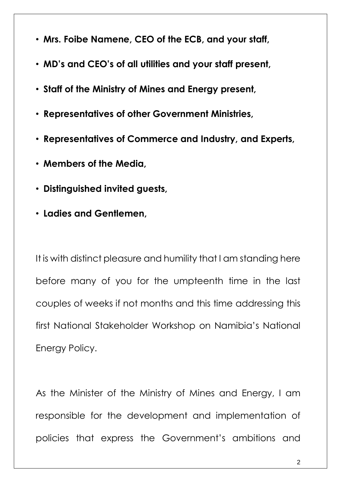- **Mrs. Foibe Namene, CEO of the ECB, and your staff,**
- **MD's and CEO's of all utilities and your staff present,**
- **Staff of the Ministry of Mines and Energy present,**
- **Representatives of other Government Ministries,**
- **Representatives of Commerce and Industry, and Experts,**
- **Members of the Media,**
- **Distinguished invited guests,**
- **Ladies and Gentlemen,**

It is with distinct pleasure and humility that I am standing here before many of you for the umpteenth time in the last couples of weeks if not months and this time addressing this first National Stakeholder Workshop on Namibia's National Energy Policy.

As the Minister of the Ministry of Mines and Energy, I am responsible for the development and implementation of policies that express the Government's ambitions and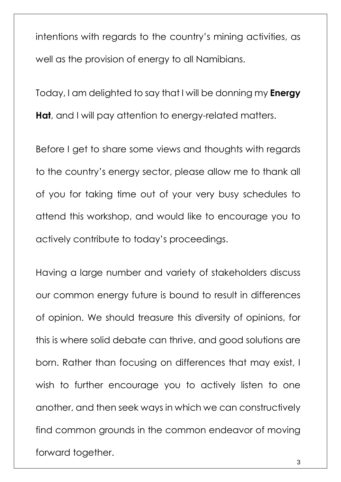intentions with regards to the country's mining activities, as well as the provision of energy to all Namibians.

Today, I am delighted to say that I will be donning my **Energy Hat**, and I will pay attention to energy-related matters.

Before I get to share some views and thoughts with regards to the country's energy sector, please allow me to thank all of you for taking time out of your very busy schedules to attend this workshop, and would like to encourage you to actively contribute to today's proceedings.

Having a large number and variety of stakeholders discuss our common energy future is bound to result in differences of opinion. We should treasure this diversity of opinions, for this is where solid debate can thrive, and good solutions are born. Rather than focusing on differences that may exist, I wish to further encourage you to actively listen to one another, and then seek ways in which we can constructively find common grounds in the common endeavor of moving forward together.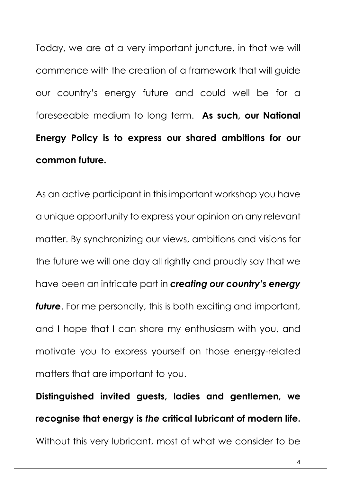Today, we are at a very important juncture, in that we will commence with the creation of a framework that will guide our country's energy future and could well be for a foreseeable medium to long term. **As such, our National Energy Policy is to express our shared ambitions for our common future.**

As an active participant in this important workshop you have a unique opportunity to express your opinion on any relevant matter. By synchronizing our views, ambitions and visions for the future we will one day all rightly and proudly say that we have been an intricate part in *creating our country's energy future*. For me personally, this is both exciting and important, and I hope that I can share my enthusiasm with you, and motivate you to express yourself on those energy-related matters that are important to you.

**Distinguished invited guests, ladies and gentlemen, we recognise that energy is** *the* **critical lubricant of modern life.** Without this very lubricant, most of what we consider to be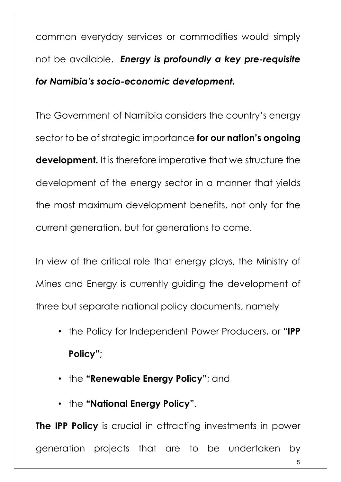common everyday services or commodities would simply not be available. *Energy is profoundly a key pre-requisite for Namibia's socio-economic development.*

The Government of Namibia considers the country's energy sector to be of strategic importance **for our nation's ongoing development.** It is therefore imperative that we structure the development of the energy sector in a manner that yields the most maximum development benefits, not only for the current generation, but for generations to come.

In view of the critical role that energy plays, the Ministry of Mines and Energy is currently guiding the development of three but separate national policy documents, namely

- the Policy for Independent Power Producers, or **"IPP Policy"**;
- the **"Renewable Energy Policy"**; and
- the **"National Energy Policy"**.

**The IPP Policy** is crucial in attracting investments in power generation projects that are to be undertaken by

5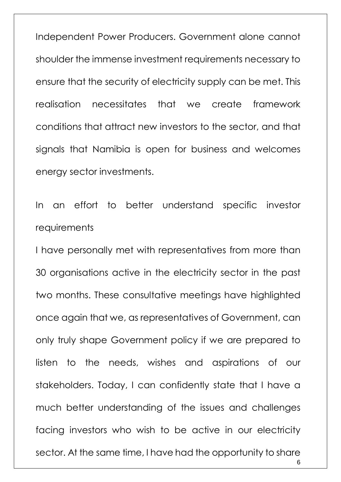Independent Power Producers. Government alone cannot shoulder the immense investment requirements necessary to ensure that the security of electricity supply can be met. This realisation necessitates that we create framework conditions that attract new investors to the sector, and that signals that Namibia is open for business and welcomes energy sector investments.

In an effort to better understand specific investor requirements

I have personally met with representatives from more than 30 organisations active in the electricity sector in the past two months. These consultative meetings have highlighted once again that we, as representatives of Government, can only truly shape Government policy if we are prepared to listen to the needs, wishes and aspirations of our stakeholders. Today, I can confidently state that I have a much better understanding of the issues and challenges facing investors who wish to be active in our electricity sector. At the same time, I have had the opportunity to share

6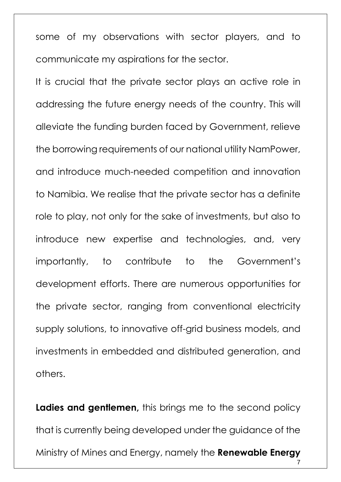some of my observations with sector players, and to communicate my aspirations for the sector.

It is crucial that the private sector plays an active role in addressing the future energy needs of the country. This will alleviate the funding burden faced by Government, relieve the borrowing requirements of our national utility NamPower, and introduce much-needed competition and innovation to Namibia. We realise that the private sector has a definite role to play, not only for the sake of investments, but also to introduce new expertise and technologies, and, very importantly, to contribute to the Government's development efforts. There are numerous opportunities for the private sector, ranging from conventional electricity supply solutions, to innovative off-grid business models, and investments in embedded and distributed generation, and others.

**Ladies and gentlemen,** this brings me to the second policy that is currently being developed under the guidance of the Ministry of Mines and Energy, namely the **Renewable Energy**

7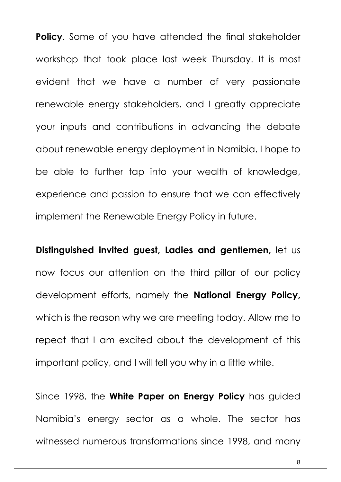**Policy.** Some of you have attended the final stakeholder workshop that took place last week Thursday. It is most evident that we have a number of very passionate renewable energy stakeholders, and I greatly appreciate your inputs and contributions in advancing the debate about renewable energy deployment in Namibia. I hope to be able to further tap into your wealth of knowledge, experience and passion to ensure that we can effectively implement the Renewable Energy Policy in future.

**Distinguished invited guest, Ladies and gentlemen,** let us now focus our attention on the third pillar of our policy development efforts, namely the **National Energy Policy,** which is the reason why we are meeting today. Allow me to repeat that I am excited about the development of this important policy, and I will tell you why in a little while.

Since 1998, the **White Paper on Energy Policy** has guided Namibia's energy sector as a whole. The sector has witnessed numerous transformations since 1998, and many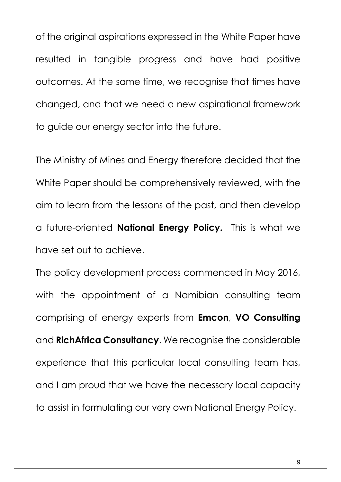of the original aspirations expressed in the White Paper have resulted in tangible progress and have had positive outcomes. At the same time, we recognise that times have changed, and that we need a new aspirational framework to guide our energy sector into the future.

The Ministry of Mines and Energy therefore decided that the White Paper should be comprehensively reviewed, with the aim to learn from the lessons of the past, and then develop a future-oriented **National Energy Policy.** This is what we have set out to achieve.

The policy development process commenced in May 2016, with the appointment of a Namibian consulting team comprising of energy experts from **Emcon**, **VO Consulting** and **RichAfrica Consultancy**. We recognise the considerable experience that this particular local consulting team has, and I am proud that we have the necessary local capacity to assist in formulating our very own National Energy Policy.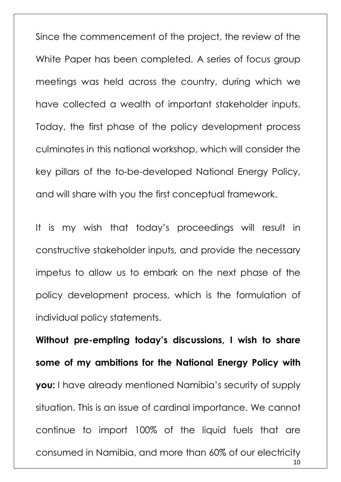Since the commencement of the project, the review of the White Paper has been completed. A series of focus group meetings was held across the country, during which we have collected a wealth of important stakeholder inputs. Today, the first phase of the policy development process culminates in this national workshop, which will consider the key pillars of the to-be-developed National Energy Policy, and will share with you the first conceptual framework.

It is my wish that today's proceedings will result in constructive stakeholder inputs, and provide the necessary impetus to allow us to embark on the next phase of the policy development process, which is the formulation of individual policy statements.

10 **Without pre-empting today's discussions, I wish to share some of my ambitions for the National Energy Policy with you:** I have already mentioned Namibia's security of supply situation. This is an issue of cardinal importance. We cannot continue to import 100% of the liquid fuels that are consumed in Namibia, and more than 60% of our electricity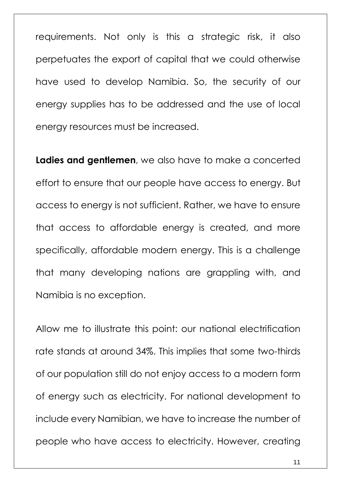requirements. Not only is this a strategic risk, it also perpetuates the export of capital that we could otherwise have used to develop Namibia. So, the security of our energy supplies has to be addressed and the use of local energy resources must be increased.

**Ladies and gentlemen**, we also have to make a concerted effort to ensure that our people have access to energy. But access to energy is not sufficient. Rather, we have to ensure that access to affordable energy is created, and more specifically, affordable modern energy. This is a challenge that many developing nations are grappling with, and Namibia is no exception.

Allow me to illustrate this point: our national electrification rate stands at around 34%. This implies that some two-thirds of our population still do not enjoy access to a modern form of energy such as electricity. For national development to include every Namibian, we have to increase the number of people who have access to electricity. However, creating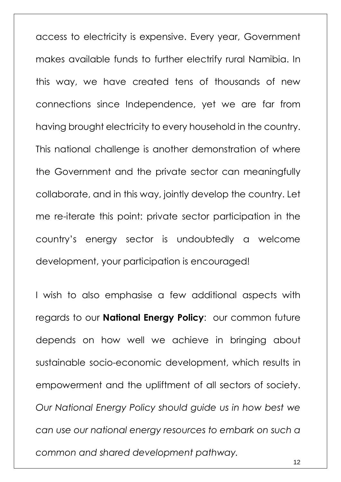access to electricity is expensive. Every year, Government makes available funds to further electrify rural Namibia. In this way, we have created tens of thousands of new connections since Independence, yet we are far from having brought electricity to every household in the country. This national challenge is another demonstration of where the Government and the private sector can meaningfully collaborate, and in this way, jointly develop the country. Let me re-iterate this point: private sector participation in the country's energy sector is undoubtedly a welcome development, your participation is encouraged!

I wish to also emphasise a few additional aspects with regards to our **National Energy Policy**: our common future depends on how well we achieve in bringing about sustainable socio-economic development, which results in empowerment and the upliftment of all sectors of society. *Our National Energy Policy should guide us in how best we can use our national energy resources to embark on such a common and shared development pathway.*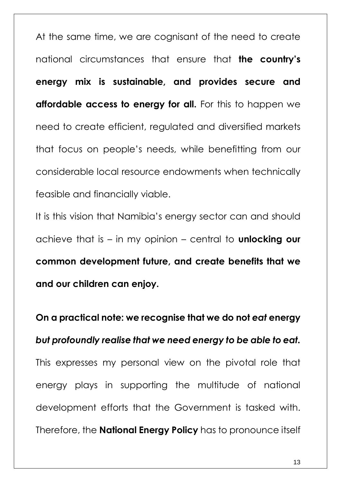At the same time, we are cognisant of the need to create national circumstances that ensure that **the country's energy mix is sustainable, and provides secure and affordable access to energy for all.** For this to happen we need to create efficient, regulated and diversified markets that focus on people's needs, while benefitting from our considerable local resource endowments when technically feasible and financially viable.

It is this vision that Namibia's energy sector can and should achieve that is – in my opinion – central to **unlocking our common development future, and create benefits that we and our children can enjoy.**

**On a practical note: we recognise that we do not** *eat* **energy** *but profoundly realise that we need energy to be able to eat.* This expresses my personal view on the pivotal role that energy plays in supporting the multitude of national development efforts that the Government is tasked with. Therefore, the **National Energy Policy** has to pronounce itself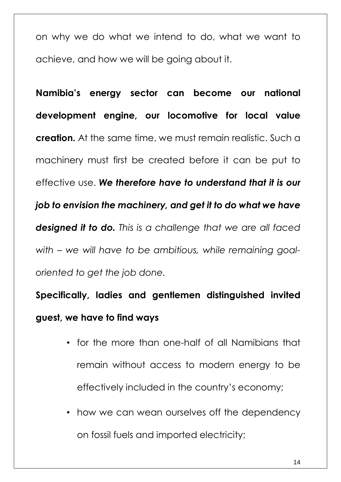on why we do what we intend to do, what we want to achieve, and how we will be going about it.

**Namibia's energy sector can become our national development engine, our locomotive for local value creation.** At the same time, we must remain realistic. Such a machinery must first be created before it can be put to effective use. *We therefore have to understand that it is our job to envision the machinery, and get it to do what we have designed it to do. This is a challenge that we are all faced with – we will have to be ambitious, while remaining goaloriented to get the job done.*

**Specifically, ladies and gentlemen distinguished invited guest, we have to find ways**

- for the more than one-half of all Namibians that remain without access to modern energy to be effectively included in the country's economy;
- how we can wean ourselves off the dependency on fossil fuels and imported electricity;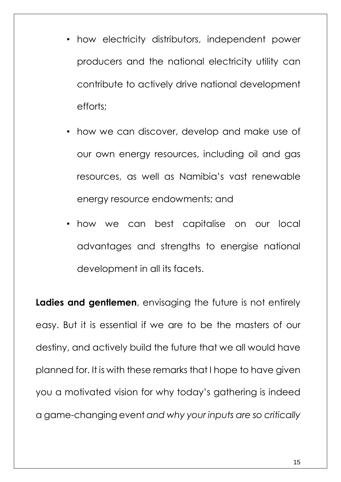- how electricity distributors, independent power producers and the national electricity utility can contribute to actively drive national development efforts;
- how we can discover, develop and make use of our own energy resources, including oil and gas resources, as well as Namibia's vast renewable energy resource endowments; and
- how we can best capitalise on our local advantages and strengths to energise national development in all its facets.

**Ladies and gentlemen**, envisaging the future is not entirely easy. But it is essential if we are to be the masters of our destiny, and actively build the future that we all would have planned for. It is with these remarks that I hope to have given you a motivated vision for why today's gathering is indeed a game-changing event *and why your inputs are so critically*